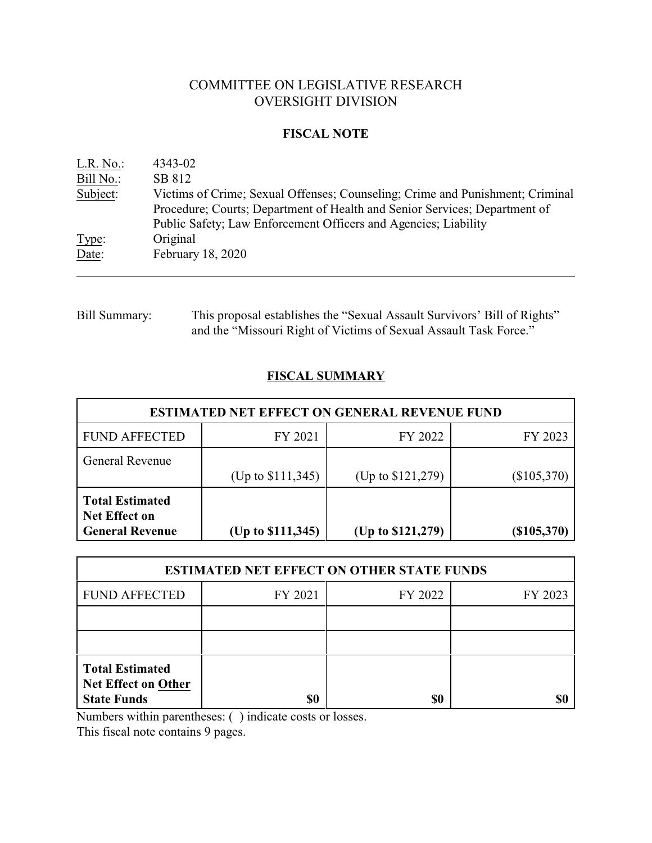# COMMITTEE ON LEGISLATIVE RESEARCH OVERSIGHT DIVISION

### **FISCAL NOTE**

| L.R. No.  | 4343-02                                                                                                                                                                                                                        |
|-----------|--------------------------------------------------------------------------------------------------------------------------------------------------------------------------------------------------------------------------------|
| Bill No.: | SB 812                                                                                                                                                                                                                         |
| Subject:  | Victims of Crime; Sexual Offenses; Counseling; Crime and Punishment; Criminal<br>Procedure; Courts; Department of Health and Senior Services; Department of<br>Public Safety; Law Enforcement Officers and Agencies; Liability |
| Type:     | Original                                                                                                                                                                                                                       |
| Date:     | February 18, 2020                                                                                                                                                                                                              |

Bill Summary: This proposal establishes the "Sexual Assault Survivors' Bill of Rights" and the "Missouri Right of Victims of Sexual Assault Task Force."

# **FISCAL SUMMARY**

| <b>ESTIMATED NET EFFECT ON GENERAL REVENUE FUND</b>                      |                     |                   |               |  |
|--------------------------------------------------------------------------|---------------------|-------------------|---------------|--|
| <b>FUND AFFECTED</b>                                                     | FY 2021             | FY 2022           | FY 2023       |  |
| General Revenue                                                          | (Up to $$111,345$ ) | (Up to \$121,279) | $(\$105,370)$ |  |
| <b>Total Estimated</b><br><b>Net Effect on</b><br><b>General Revenue</b> | (Up to \$111,345)   | (Up to \$121,279) | (\$105,370)   |  |

| <b>ESTIMATED NET EFFECT ON OTHER STATE FUNDS</b>                           |         |         |         |  |
|----------------------------------------------------------------------------|---------|---------|---------|--|
| <b>FUND AFFECTED</b>                                                       | FY 2021 | FY 2022 | FY 2023 |  |
|                                                                            |         |         |         |  |
|                                                                            |         |         |         |  |
| <b>Total Estimated</b><br><b>Net Effect on Other</b><br><b>State Funds</b> | \$0     | \$0     |         |  |

Numbers within parentheses: ( ) indicate costs or losses.

This fiscal note contains 9 pages.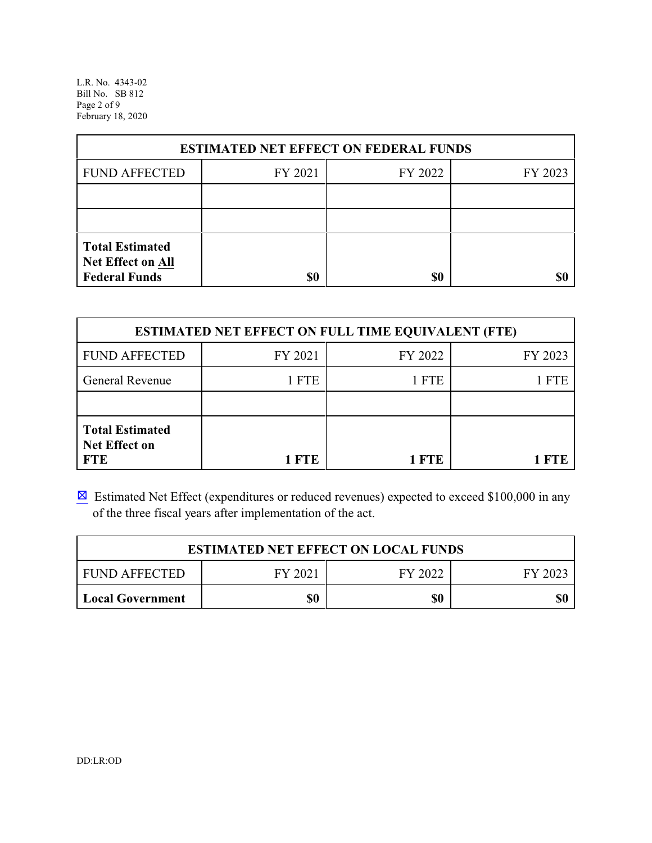L.R. No. 4343-02 Bill No. SB 812 Page 2 of 9 February 18, 2020

| <b>ESTIMATED NET EFFECT ON FEDERAL FUNDS</b>                        |         |         |         |  |
|---------------------------------------------------------------------|---------|---------|---------|--|
| <b>FUND AFFECTED</b>                                                | FY 2021 | FY 2022 | FY 2023 |  |
|                                                                     |         |         |         |  |
|                                                                     |         |         |         |  |
| <b>Total Estimated</b><br>Net Effect on All<br><b>Federal Funds</b> | \$0     | \$0     |         |  |

| <b>ESTIMATED NET EFFECT ON FULL TIME EQUIVALENT (FTE)</b>    |         |            |         |  |
|--------------------------------------------------------------|---------|------------|---------|--|
| <b>FUND AFFECTED</b>                                         | FY 2021 | FY 2022    | FY 2023 |  |
| General Revenue                                              | 1 FTE   | 1 FTE      | 1 FTE   |  |
|                                                              |         |            |         |  |
| <b>Total Estimated</b><br><b>Net Effect on</b><br><b>FTE</b> | 1 FTE   | <b>ETE</b> |         |  |

 $\boxtimes$  Estimated Net Effect (expenditures or reduced revenues) expected to exceed \$100,000 in any of the three fiscal years after implementation of the act.

| <b>ESTIMATED NET EFFECT ON LOCAL FUNDS</b> |         |         |         |
|--------------------------------------------|---------|---------|---------|
| <b>FUND AFFECTED</b>                       | FY 2021 | FY 2022 | FY 2023 |
| <b>Local Government</b>                    | \$0     | \$0     | \$0     |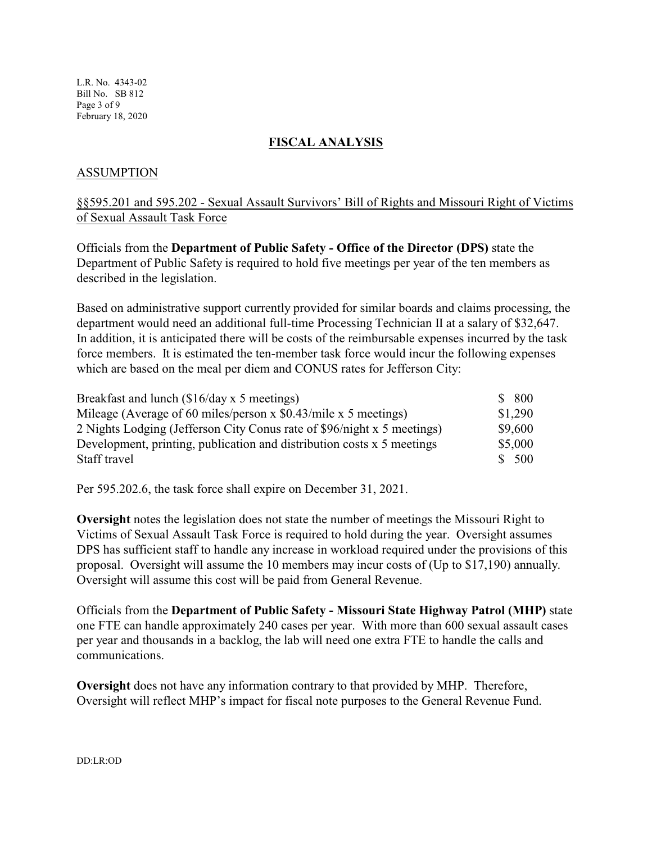L.R. No. 4343-02 Bill No. SB 812 Page 3 of 9 February 18, 2020

#### **FISCAL ANALYSIS**

### ASSUMPTION

## §§595.201 and 595.202 - Sexual Assault Survivors' Bill of Rights and Missouri Right of Victims of Sexual Assault Task Force

Officials from the **Department of Public Safety - Office of the Director (DPS)** state the Department of Public Safety is required to hold five meetings per year of the ten members as described in the legislation.

Based on administrative support currently provided for similar boards and claims processing, the department would need an additional full-time Processing Technician II at a salary of \$32,647. In addition, it is anticipated there will be costs of the reimbursable expenses incurred by the task force members. It is estimated the ten-member task force would incur the following expenses which are based on the meal per diem and CONUS rates for Jefferson City:

| Breakfast and lunch (\$16/day x 5 meetings)                             | \$800   |
|-------------------------------------------------------------------------|---------|
| Mileage (Average of 60 miles/person x $$0.43/mile x 5$ meetings)        | \$1,290 |
| 2 Nights Lodging (Jefferson City Conus rate of \$96/night x 5 meetings) | \$9,600 |
| Development, printing, publication and distribution costs x 5 meetings  | \$5,000 |
| Staff travel                                                            | \$ 500  |

Per 595.202.6, the task force shall expire on December 31, 2021.

**Oversight** notes the legislation does not state the number of meetings the Missouri Right to Victims of Sexual Assault Task Force is required to hold during the year. Oversight assumes DPS has sufficient staff to handle any increase in workload required under the provisions of this proposal. Oversight will assume the 10 members may incur costs of (Up to \$17,190) annually. Oversight will assume this cost will be paid from General Revenue.

Officials from the **Department of Public Safety - Missouri State Highway Patrol (MHP)** state one FTE can handle approximately 240 cases per year. With more than 600 sexual assault cases per year and thousands in a backlog, the lab will need one extra FTE to handle the calls and communications.

**Oversight** does not have any information contrary to that provided by MHP. Therefore, Oversight will reflect MHP's impact for fiscal note purposes to the General Revenue Fund.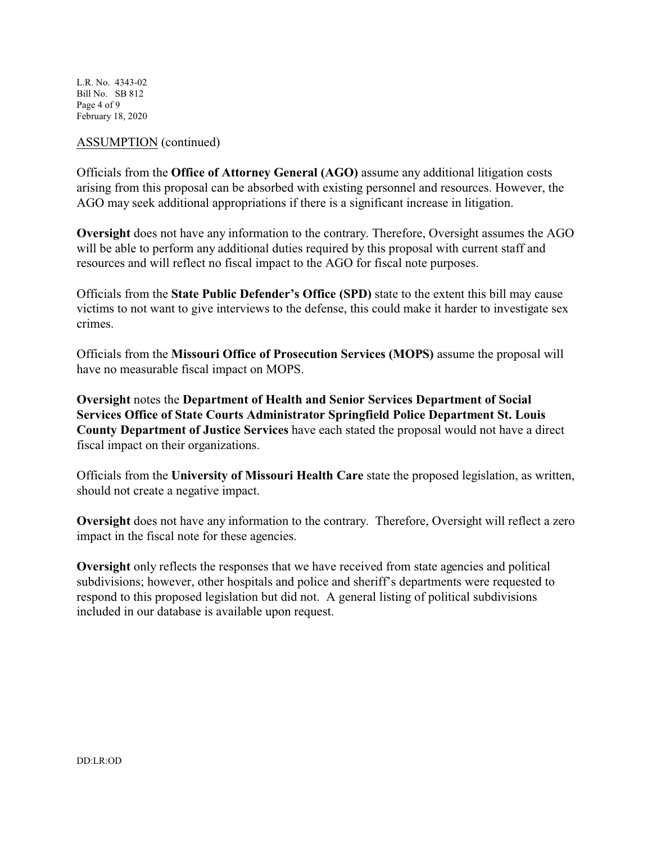L.R. No. 4343-02 Bill No. SB 812 Page 4 of 9 February 18, 2020

#### ASSUMPTION (continued)

Officials from the **Office of Attorney General (AGO)** assume any additional litigation costs arising from this proposal can be absorbed with existing personnel and resources. However, the AGO may seek additional appropriations if there is a significant increase in litigation.

**Oversight** does not have any information to the contrary. Therefore, Oversight assumes the AGO will be able to perform any additional duties required by this proposal with current staff and resources and will reflect no fiscal impact to the AGO for fiscal note purposes.

Officials from the **State Public Defender's Office (SPD)** state to the extent this bill may cause victims to not want to give interviews to the defense, this could make it harder to investigate sex crimes.

Officials from the **Missouri Office of Prosecution Services (MOPS)** assume the proposal will have no measurable fiscal impact on MOPS.

**Oversight** notes the **Department of Health and Senior Services Department of Social Services Office of State Courts Administrator Springfield Police Department St. Louis County Department of Justice Services** have each stated the proposal would not have a direct fiscal impact on their organizations.

Officials from the **University of Missouri Health Care** state the proposed legislation, as written, should not create a negative impact.

**Oversight** does not have any information to the contrary. Therefore, Oversight will reflect a zero impact in the fiscal note for these agencies.

**Oversight** only reflects the responses that we have received from state agencies and political subdivisions; however, other hospitals and police and sheriff's departments were requested to respond to this proposed legislation but did not. A general listing of political subdivisions included in our database is available upon request.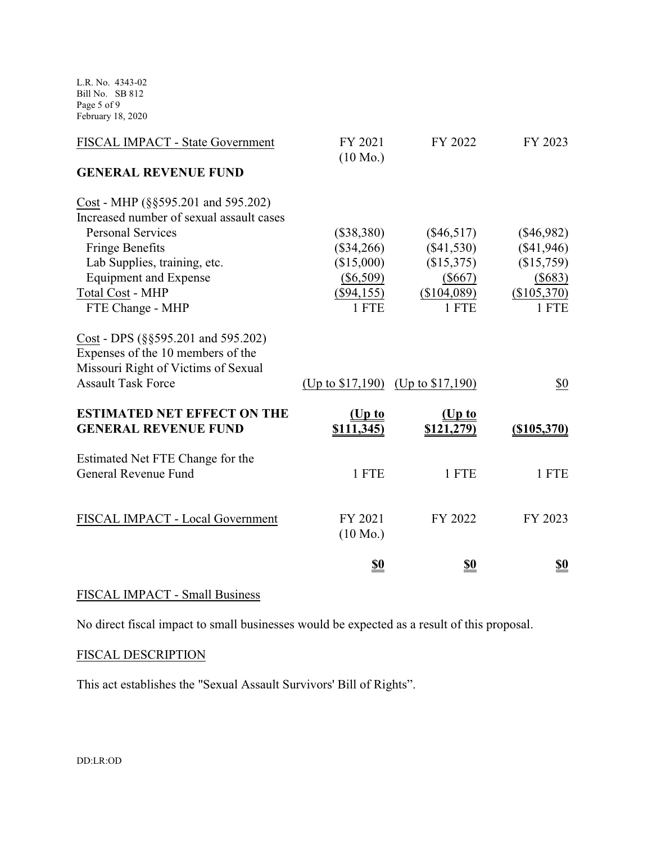L.R. No. 4343-02 Bill No. SB 812 Page 5 of 9 February 18, 2020

| FISCAL IMPACT - State Government                                                                                 | FY 2021<br>$(10 \text{ Mo.})$ | FY 2022                               | FY 2023        |
|------------------------------------------------------------------------------------------------------------------|-------------------------------|---------------------------------------|----------------|
| <b>GENERAL REVENUE FUND</b>                                                                                      |                               |                                       |                |
| Cost - MHP (§§595.201 and 595.202)                                                                               |                               |                                       |                |
| Increased number of sexual assault cases                                                                         |                               |                                       |                |
| <b>Personal Services</b>                                                                                         | $(\$38,380)$                  | $(\$46,517)$                          | $(\$46,982)$   |
| <b>Fringe Benefits</b>                                                                                           | $(\$34,266)$                  | $(\$41,530)$                          | (\$41,946)     |
| Lab Supplies, training, etc.                                                                                     | (\$15,000)                    | (\$15,375)                            | (\$15,759)     |
| <b>Equipment and Expense</b>                                                                                     | (\$6,509)                     | $(\$667)$                             | $($ \$683)     |
| <b>Total Cost - MHP</b>                                                                                          | $(\$94,155)$                  | (\$104,089)                           | (\$105,370)    |
| FTE Change - MHP                                                                                                 | 1 FTE                         | 1 FTE                                 | 1 FTE          |
| $Cost - DPS$ (§§595.201 and 595.202)<br>Expenses of the 10 members of the<br>Missouri Right of Victims of Sexual |                               |                                       |                |
| <b>Assault Task Force</b>                                                                                        |                               |                                       |                |
|                                                                                                                  |                               | (Up to $$17,190$ ) (Up to $$17,190$ ) | \$0            |
| <b>ESTIMATED NET EFFECT ON THE</b>                                                                               | (Up to                        | (Up to                                |                |
| <b>GENERAL REVENUE FUND</b>                                                                                      | \$111,345                     | \$121,279)                            | $($ \$105,370) |
| Estimated Net FTE Change for the                                                                                 |                               |                                       |                |
| General Revenue Fund                                                                                             | 1 FTE                         | 1 FTE                                 | 1 FTE          |
|                                                                                                                  |                               |                                       |                |
| FISCAL IMPACT - Local Government                                                                                 | FY 2021                       | FY 2022                               | FY 2023        |
|                                                                                                                  | $(10 \text{ Mo.})$            |                                       |                |
|                                                                                                                  | <u>\$0</u>                    | <u>\$0</u>                            | <u>\$0</u>     |
|                                                                                                                  |                               |                                       |                |

# FISCAL IMPACT - Small Business

No direct fiscal impact to small businesses would be expected as a result of this proposal.

### FISCAL DESCRIPTION

This act establishes the "Sexual Assault Survivors' Bill of Rights".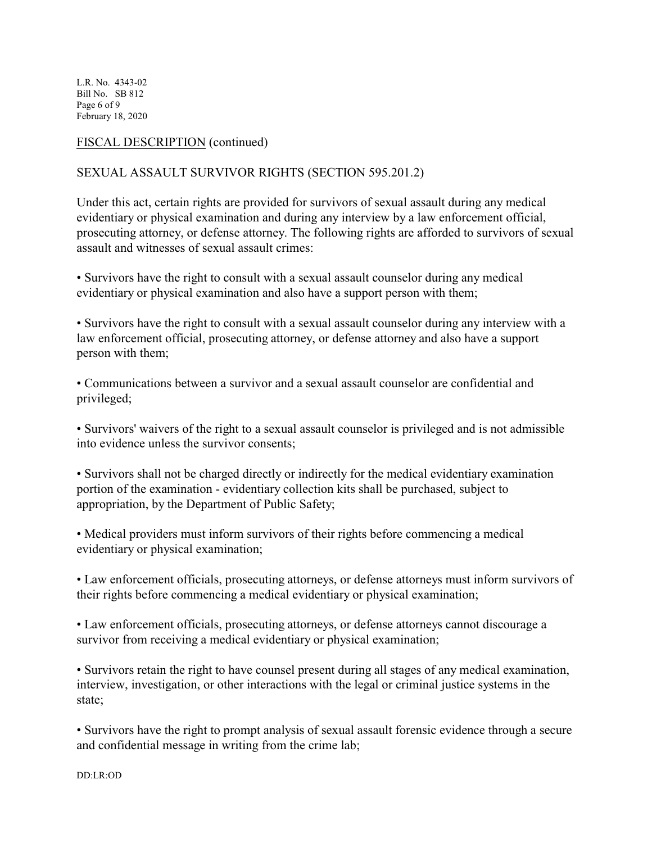L.R. No. 4343-02 Bill No. SB 812 Page 6 of 9 February 18, 2020

### FISCAL DESCRIPTION (continued)

### SEXUAL ASSAULT SURVIVOR RIGHTS (SECTION 595.201.2)

Under this act, certain rights are provided for survivors of sexual assault during any medical evidentiary or physical examination and during any interview by a law enforcement official, prosecuting attorney, or defense attorney. The following rights are afforded to survivors of sexual assault and witnesses of sexual assault crimes:

• Survivors have the right to consult with a sexual assault counselor during any medical evidentiary or physical examination and also have a support person with them;

• Survivors have the right to consult with a sexual assault counselor during any interview with a law enforcement official, prosecuting attorney, or defense attorney and also have a support person with them;

• Communications between a survivor and a sexual assault counselor are confidential and privileged;

• Survivors' waivers of the right to a sexual assault counselor is privileged and is not admissible into evidence unless the survivor consents;

• Survivors shall not be charged directly or indirectly for the medical evidentiary examination portion of the examination - evidentiary collection kits shall be purchased, subject to appropriation, by the Department of Public Safety;

• Medical providers must inform survivors of their rights before commencing a medical evidentiary or physical examination;

• Law enforcement officials, prosecuting attorneys, or defense attorneys must inform survivors of their rights before commencing a medical evidentiary or physical examination;

• Law enforcement officials, prosecuting attorneys, or defense attorneys cannot discourage a survivor from receiving a medical evidentiary or physical examination;

• Survivors retain the right to have counsel present during all stages of any medical examination, interview, investigation, or other interactions with the legal or criminal justice systems in the state;

• Survivors have the right to prompt analysis of sexual assault forensic evidence through a secure and confidential message in writing from the crime lab;

DD:LR:OD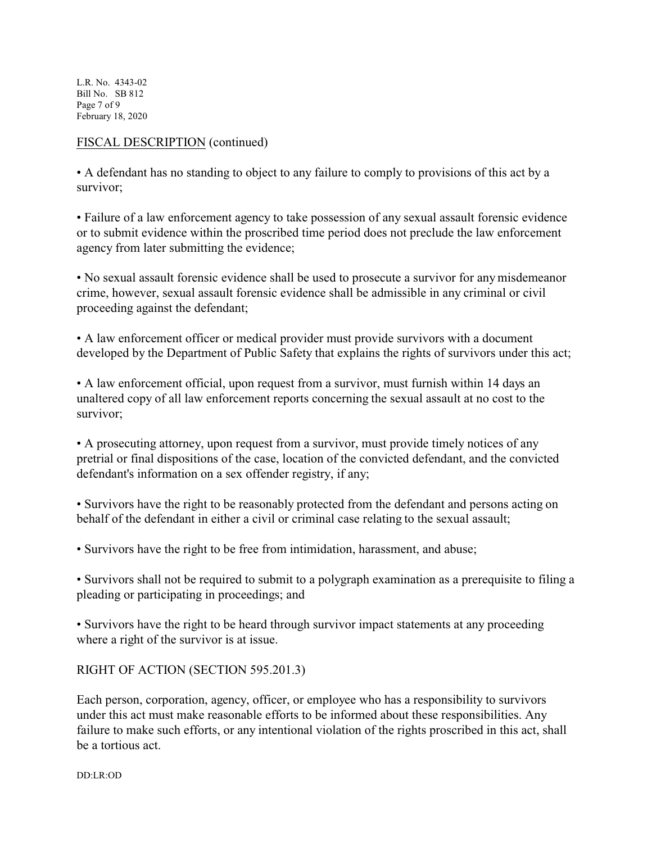L.R. No. 4343-02 Bill No. SB 812 Page 7 of 9 February 18, 2020

### FISCAL DESCRIPTION (continued)

• A defendant has no standing to object to any failure to comply to provisions of this act by a survivor;

• Failure of a law enforcement agency to take possession of any sexual assault forensic evidence or to submit evidence within the proscribed time period does not preclude the law enforcement agency from later submitting the evidence;

• No sexual assault forensic evidence shall be used to prosecute a survivor for any misdemeanor crime, however, sexual assault forensic evidence shall be admissible in any criminal or civil proceeding against the defendant;

• A law enforcement officer or medical provider must provide survivors with a document developed by the Department of Public Safety that explains the rights of survivors under this act;

• A law enforcement official, upon request from a survivor, must furnish within 14 days an unaltered copy of all law enforcement reports concerning the sexual assault at no cost to the survivor;

• A prosecuting attorney, upon request from a survivor, must provide timely notices of any pretrial or final dispositions of the case, location of the convicted defendant, and the convicted defendant's information on a sex offender registry, if any;

• Survivors have the right to be reasonably protected from the defendant and persons acting on behalf of the defendant in either a civil or criminal case relating to the sexual assault;

• Survivors have the right to be free from intimidation, harassment, and abuse;

• Survivors shall not be required to submit to a polygraph examination as a prerequisite to filing a pleading or participating in proceedings; and

• Survivors have the right to be heard through survivor impact statements at any proceeding where a right of the survivor is at issue.

### RIGHT OF ACTION (SECTION 595.201.3)

Each person, corporation, agency, officer, or employee who has a responsibility to survivors under this act must make reasonable efforts to be informed about these responsibilities. Any failure to make such efforts, or any intentional violation of the rights proscribed in this act, shall be a tortious act.

DD:LR:OD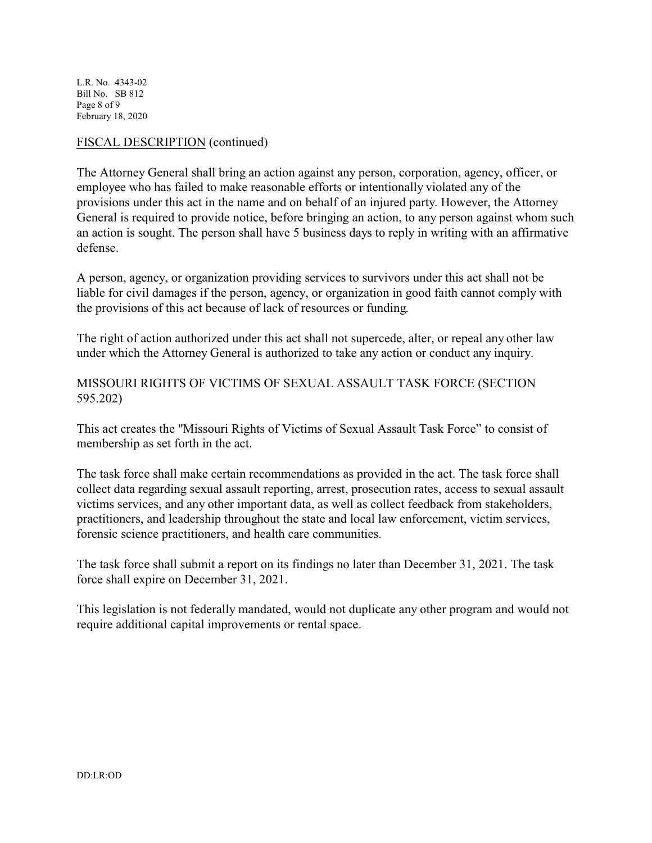L.R. No. 4343-02 Bill No. SB 812 Page 8 of 9 February 18, 2020

#### FISCAL DESCRIPTION (continued)

The Attorney General shall bring an action against any person, corporation, agency, officer, or employee who has failed to make reasonable efforts or intentionally violated any of the provisions under this act in the name and on behalf of an injured party. However, the Attorney General is required to provide notice, before bringing an action, to any person against whom such an action is sought. The person shall have 5 business days to reply in writing with an affirmative defense.

A person, agency, or organization providing services to survivors under this act shall not be liable for civil damages if the person, agency, or organization in good faith cannot comply with the provisions of this act because of lack of resources or funding.

The right of action authorized under this act shall not supercede, alter, or repeal any other law under which the Attorney General is authorized to take any action or conduct any inquiry.

MISSOURI RIGHTS OF VICTIMS OF SEXUAL ASSAULT TASK FORCE (SECTION 595.202)

This act creates the "Missouri Rights of Victims of Sexual Assault Task Force" to consist of membership as set forth in the act.

The task force shall make certain recommendations as provided in the act. The task force shall collect data regarding sexual assault reporting, arrest, prosecution rates, access to sexual assault victims services, and any other important data, as well as collect feedback from stakeholders, practitioners, and leadership throughout the state and local law enforcement, victim services, forensic science practitioners, and health care communities.

The task force shall submit a report on its findings no later than December 31, 2021. The task force shall expire on December 31, 2021.

This legislation is not federally mandated, would not duplicate any other program and would not require additional capital improvements or rental space.